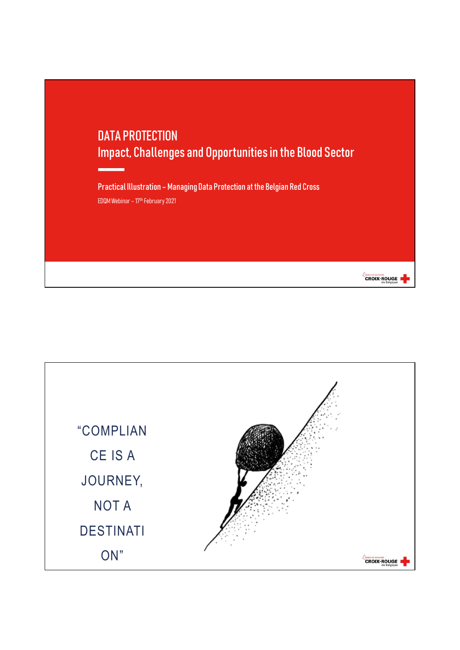



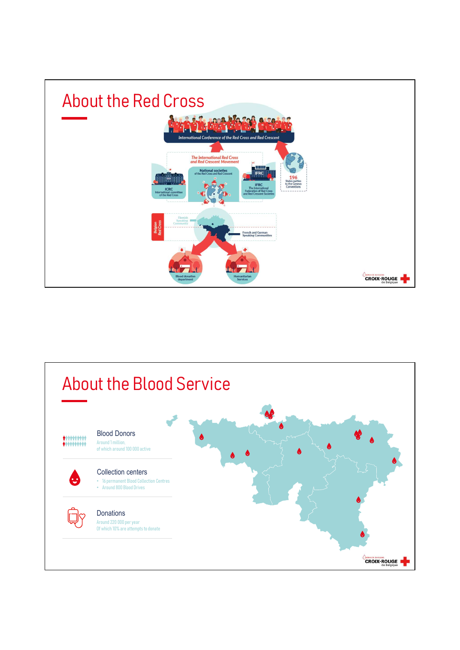

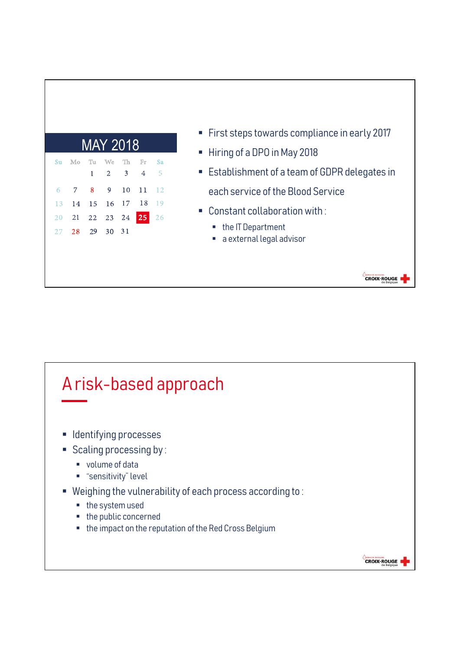|                                         |                                          |                                          | " First steps towards compliance in early 2017                      |
|-----------------------------------------|------------------------------------------|------------------------------------------|---------------------------------------------------------------------|
| MAY 2018                                |                                          |                                          | Hiring of a DPO in May 2018                                         |
| Mo<br>Tu.<br>Su<br>$\mathbf{1}$         | We<br>Th<br>$\overline{3}$<br>$\sqrt{2}$ | Sa<br>Fr<br>$\sqrt{5}$<br>$\overline{4}$ | Establishment of a team of GDPR delegates in                        |
| 8<br>$\circ$<br>15<br>14<br>13          | 9<br>10<br>17<br>16                      | 12<br>11<br>18<br>19                     | each service of the Blood Service<br>• Constant collaboration with: |
| 22<br>21<br><b>20</b><br>29<br>28<br>27 | 23<br>30<br>31                           | 24 25 26                                 | • the IT Department<br>a external legal advisor<br>$\blacksquare$   |
|                                         |                                          |                                          |                                                                     |

- 
- 
- **Establishment of a team of GDPR delegates in** each service of the Blood Service
- Constant collaboration with:
	- the IT Department
	- a external legal advisor



## each service of the Blood Service<br>
14 15 16 17 18 19<br>
21 22 23 24 25 26<br>
28 29 30 31<br> **A risk-based approach**<br> **A** risk-based approach Index a sexternal legal advisor<br>
A risk-based approach<br>
Identifying processes<br>
Scaling processing by :<br>
Yeighing the vulnerability of each process according to :<br>
Yeighing the vulnerability of each process according to :<br> ■ the public concerned the impact on the reputation of the Red Cross Belgium**CROIX-ROUGE**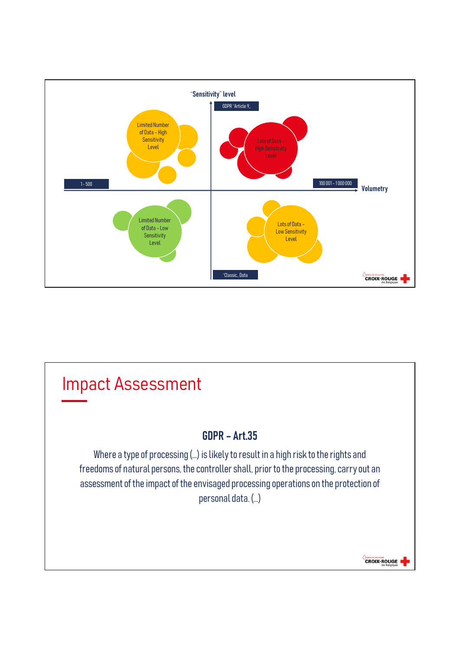

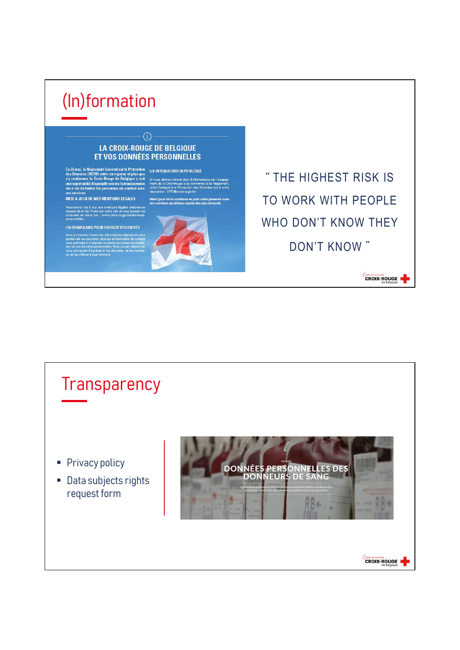## (In)formation

## $\binom{1}{1}$ **LA CROIX-ROUGE DE BELGIQUE ET VOS DONNÉES PERSONNELLES**

Ce 25 mai, le Réglement Général sur la Protection<br>des Données (RGPD) entre en vigueur et plus que<br>s'y conformer, la Croix-Rouge de Belgique y voit en sixous désirez obtenir plus d'informa<br>une opportunité d'agrandir encore

MISE À JOUR DE NOS MENTIONS LÉGALES

UN FORMULAIRE POUR EXERCER VOS DROITS

.<br>Merci pour votre confiance et pour votre p<br>nos combats quotidiens auprès des plus d



" THE HIGHEST RISK IS TO WORK WITH PEOPLE WHO DON'T KNOW THEY DON'T KNOW "

**CROIX-ROUGE** 

**Transparency** Privacy policy<br>
Pata subjects rights<br>
Pata subjects rights<br>
Pata subjects rights<br>
PONNEURS DE SANG ■ Data subjects rights request form**CROIX-ROUGE**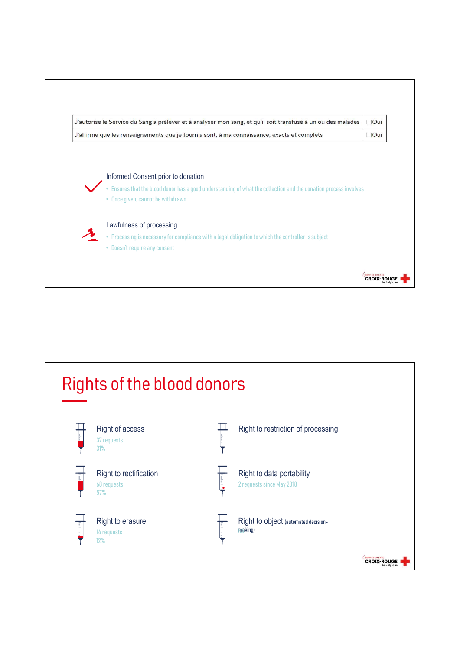

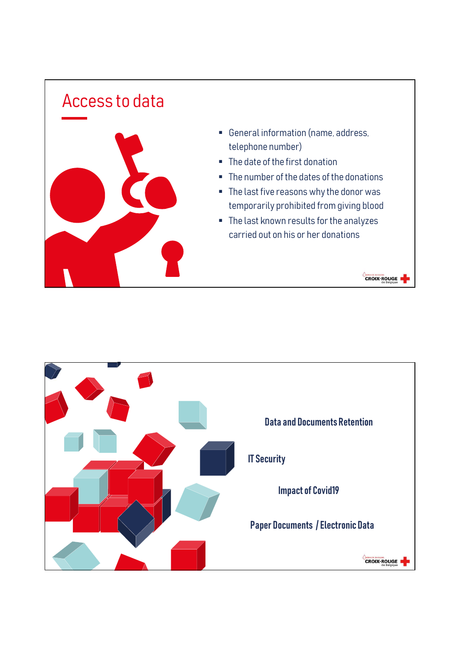